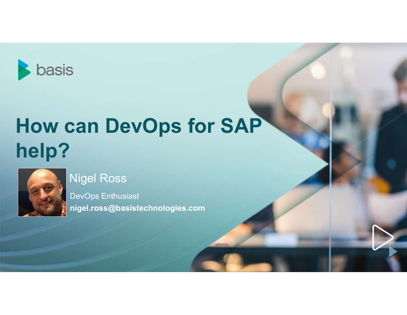

# How can DevOps for SAP help?



#### Nigel Ross

DevOps Enthusiast nigel.ross@basistechnologies.com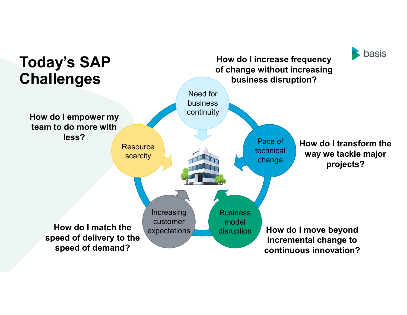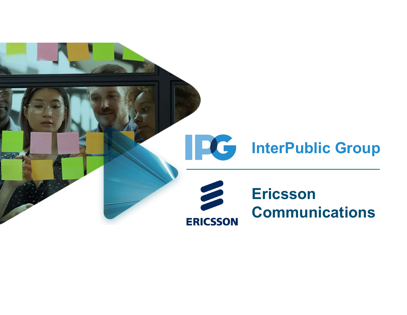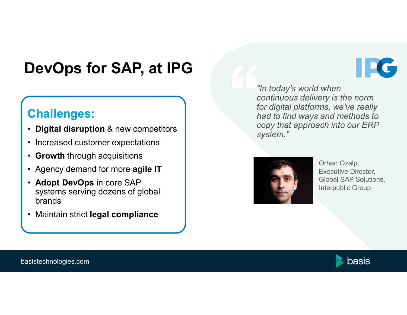# DevOps for SAP, at IPG **DevOps for SAP, at IPG<br>
Challenges:**<br>• Digital disruption & new competitors<br>• Increased customer expectations<br>• Growth through acquisitions<br>• Agency demand for more agile IT

#### Challenges:

- 
- 
- Growth through acquisitions
- 
- **DevOps for SAP, at IPG**<br>
Challenges:<br>
 Digital disruption & new competitors<br>
 Increased customer expectations<br>
 Growth through acquisitions<br>
 Agency demand for more agile IT<br>
 Adopt DevOps in core SAP<br>systems serving • Adopt DevOps in core SAP **evOps for SAP, at IPG**<br> **Constrained SAP, at IPG**<br> **Constrained SAP**<br> **Constrained SAP**<br> **Constrained SAP**<br> **Constrained SAP**<br> **Constrained SAP**<br> **Constrained SAP**<br>
Systems serving dozens of global<br>
brands<br>
Maintain stric brands **Challenges:**<br>
• Digital disruption & new competitors<br>
• Increased customer expectations<br>
• Growth through acquisitions<br>
• Agency demand for more **agile IT**<br>
• Adopt DevOps in core SAP<br>
systems serving dozens of global<br>
br
- 

• Digital disruption & new competitors  $\begin{array}{ccc} \bullet & \bullet & \bullet \end{array}$  copy that approach into our ERP "In today's world when "In today's world when<br>"In today's world when<br>continuous delivery is the norm<br>for digital platforms, we've really<br>had to find ways and methods to<br>copy that approach into our ERP "In today's world when<br>"In today's world when<br>continuous delivery is the norm<br>for digital platforms, we've really<br>had to find ways and methods to<br>copy that approach into our ERP<br>system." "In today's world when<br>"In today's world when<br>continuous delivery is the norm<br>for digital platforms, we've really<br>had to find ways and methods to<br>copy that approach into our ERP<br>system." "In today's world when<br>
"In today's world when<br>
continuous delivery is the norm<br>
for digital platforms, we've really<br>
had to find ways and methods to<br>
copy that approach into our ERP<br>
system." system." When<br>
ery is the norm<br>
ms, we've really<br>
and methods to<br>
ich into our ERP<br>
Orhan Ozalp,<br>
Executive Director,<br>
Global SAP Solutions,<br>
Interpublic Group



Executive Director, Global SAP Solutions, Interpublic Group



basistechnologies.com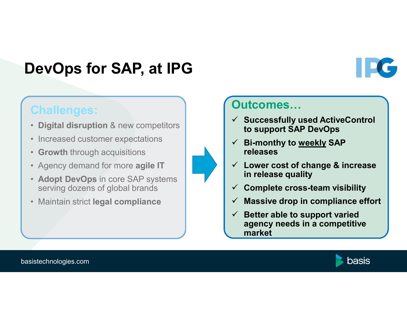# DevOps for SAP, at IPG **DevOps for SAP, at IPG<br>
Challenges:**<br>• Digital disruption & new competitors<br>• Increased customer expectations<br>• Agency demand for more agile IT **DevOps for SAP, at IPG**<br>
Challenges:<br>
• Digital disruption & new competitors<br>
• Increased customer expectations<br>
• Growth through acquisitions<br>
• Agency demand for more agile IT<br>
• Adopt DevOps in core SAP systems<br>
• Serv

#### Challenges:

- Digital disruption & new competitors
- 
- Growth through acquisitions
- 
- Adopt DevOps in core SAP systems serving dozens of global brands and  $\sqrt{ }$ PEVUPS IOT SAF, at IFU<br>
Challenges:<br>
• Digital disruption & new competitors<br>
• Increased customer expectations<br>
• Growth through acquisitions<br>
• Agency demand for more agile IT<br>
• Adopt DevOps in core SAP systems<br>
• Maint
- 

#### Outcomes…

- $\checkmark$  Successfully used ActiveControl to support SAP DevOps Outcomes...<br>
✓ Successfully used ActiveControl<br>
to support SAP DevOps<br>
✓ Bi-monthy to <u>weekly</u> SAP<br>
releases<br>
✓ Lower cost of change & increase<br>
in release quality
- releases
- $\checkmark$  Lower cost of change & increase in release quality
- Complete cross-team visibility
- $\checkmark$  Massive drop in compliance effort
- $\checkmark$  Better able to support varied agency needs in a competitive market



basistechnologies.com



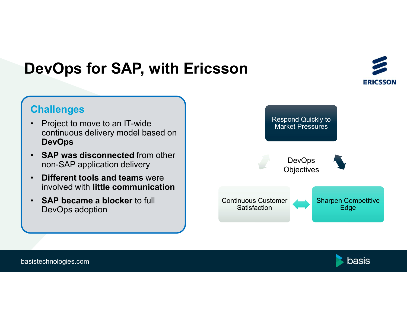## DevOps for SAP, with Ericsson



#### **Challenges**

- **PevOps for SAP, with Erichtages**<br>
 Project to move to an IT-wide<br>
 Challenges<br>
 Continuous delivery model based on<br>
 SAP was disconnected from other continuous delivery model based on DevOps
- SAP was disconnected from other non-SAP application delivery
- Different tools and teams were involved with little communication
- SAP became a blocker to full DevOps adoption



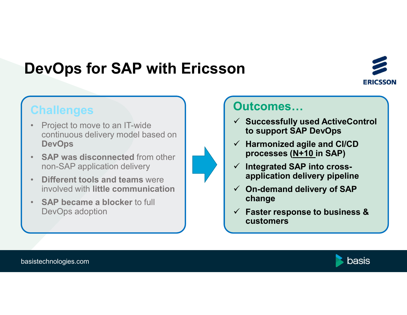# DevOps for SAP with Ericsson



#### **Challenges**

- **Project to move to an IT-wide<br>
Challenges<br>• Project to move to an IT-wide<br>• Continuous delivery model based on<br>• SAP was disconnected from other** continuous delivery model based on **DevOps**
- SAP was disconnected from other non-SAP application delivery
- **Different tools and teams were** involved with little communication
- SAP became a blocker to full DevOps adoption



#### Outcomes…

- $\checkmark$  Successfully used ActiveControl to support SAP DevOps
- $\checkmark$  Harmonized agile and CI/CD processes (N+10 in SAP)
- $\checkmark$  Integrated SAP into crossapplication delivery pipeline
- $\checkmark$  On-demand delivery of SAP change
- $\checkmark$  Faster response to business & customers

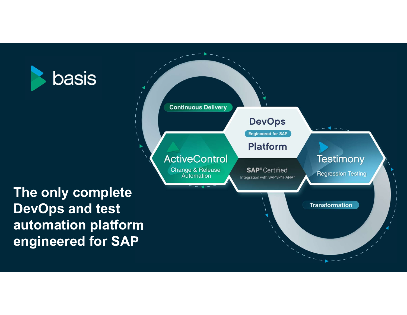

#### **Continuous Delivery DevOps** Engineered for SAP **Platform ActiveControl Testimony** Change & Release **SAP®** Certified **Regression Testing** Automation Integration with SAP S/4HANA® The only complete DevOps and test **Transformation** automation platform engineered for SAP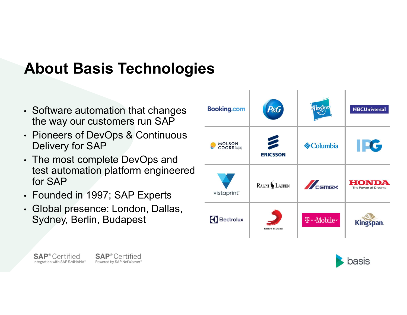# About Basis Technologies

- Software automation that changes Booking.com
- Pioneers of DevOps & Continuous Delivery for SAP
- The most complete DevOps and test automation platform engineered for SAP
- Founded in 1997; SAP Experts vistaprint
- Global presence: London, Dallas, Sydney, Berlin, Budapest





**SAP**<sup>®</sup> Certified Integration with SAP S/4HANA® **SAP**<sup>®</sup> Certified Powered by SAP NetWeaver®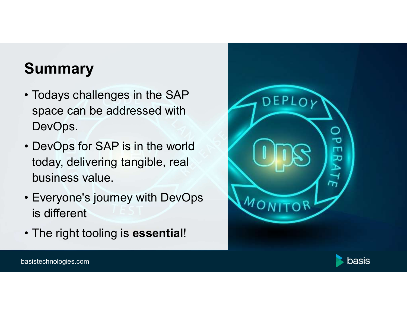# **Summary**

- **Summary<br>• Todays challenges in the SAP<br>space can be addressed with<br>DevOps.** space can be addressed with DevOps. **Summary<br>
• Todays challenges in the SAP<br>
space can be addressed with<br>
DevOps.<br>
• DevOps for SAP is in the world<br>
today, delivering tangible, real<br>
business value.**
- today, delivering tangible, real business value. • Todays challenges in the SAP<br>
• Fodays challenges in the SAP<br>
• DevOps.<br>
• DevOps for SAP is in the world<br>
today, delivering tangible, real<br>
business value.<br>
• Everyone's journey with DevOps<br>
is different<br>
• The right to space can be addressed with<br>
DevOps.<br>
• DevOps for SAP is in the world<br>
today, delivering tangible, real<br>
business value.<br>
• Everyone's journey with DevOps<br>
is different<br>
• The right tooling is **essential**!<br>
asistechnologi
- is different
- 





basistechnologies.com